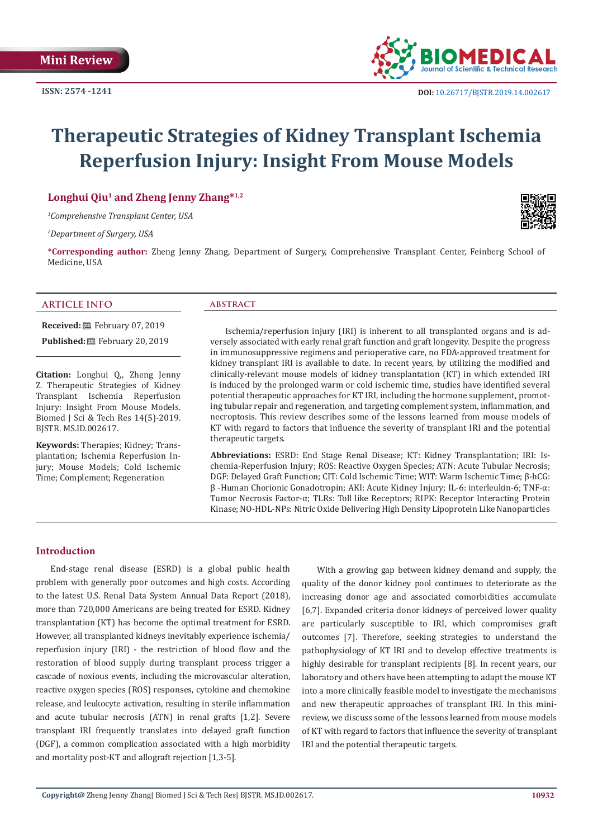

# **Therapeutic Strategies of Kidney Transplant Ischemia Reperfusion Injury: Insight From Mouse Models**

# **Longhui Qiu1 and Zheng Jenny Zhang\*1,2**

*1 Comprehensive Transplant Center, USA*

*2 Department of Surgery, USA*

**\*Corresponding author:** Zheng Jenny Zhang, Department of Surgery, Comprehensive Transplant Center, Feinberg School of Medicine, USA

#### **ARTICLE INFO abstract**

**Received:** February 07, 2019 Published: **■**February 20, 2019

**Citation:** Longhui Q,, Zheng Jenny Z. Therapeutic Strategies of Kidney Transplant Ischemia Reperfusion Injury: Insight From Mouse Models. Biomed J Sci & Tech Res 14(5)-2019. BJSTR. MS.ID.002617.

**Keywords:** Therapies; Kidney; Transplantation; Ischemia Reperfusion Injury; Mouse Models; Cold Ischemic Time; Complement; Regeneration

Ischemia/reperfusion injury (IRI) is inherent to all transplanted organs and is adversely associated with early renal graft function and graft longevity. Despite the progress in immunosuppressive regimens and perioperative care, no FDA-approved treatment for kidney transplant IRI is available to date. In recent years, by utilizing the modified and clinically-relevant mouse models of kidney transplantation (KT) in which extended IRI is induced by the prolonged warm or cold ischemic time, studies have identified several potential therapeutic approaches for KT IRI, including the hormone supplement, promoting tubular repair and regeneration, and targeting complement system, inflammation, and necroptosis. This review describes some of the lessons learned from mouse models of KT with regard to factors that influence the severity of transplant IRI and the potential therapeutic targets.

**Abbreviations:** ESRD: End Stage Renal Disease; KT: Kidney Transplantation; IRI: Ischemia-Reperfusion Injury; ROS: Reactive Oxygen Species; ATN: Acute Tubular Necrosis; DGF: Delayed Graft Function; CIT: Cold Ischemic Time; WIT: Warm Ischemic Time; β-hCG: β -Human Chorionic Gonadotropin; AKI: Acute Kidney Injury; IL-6: interleukin-6; TNF-α: Tumor Necrosis Factor-α; TLRs: Toll like Receptors; RIPK: Receptor Interacting Protein Kinase; NO-HDL-NPs: Nitric Oxide Delivering High Density Lipoprotein Like Nanoparticles

#### **Introduction**

End-stage renal disease (ESRD) is a global public health problem with generally poor outcomes and high costs. According to the latest U.S. Renal Data System Annual Data Report (2018), more than 720,000 Americans are being treated for ESRD. Kidney transplantation (KT) has become the optimal treatment for ESRD. However, all transplanted kidneys inevitably experience ischemia/ reperfusion injury (IRI) - the restriction of blood flow and the restoration of blood supply during transplant process trigger a cascade of noxious events, including the microvascular alteration, reactive oxygen species (ROS) responses, cytokine and chemokine release, and leukocyte activation, resulting in sterile inflammation and acute tubular necrosis (ATN) in renal grafts [1,2]. Severe transplant IRI frequently translates into delayed graft function (DGF), a common complication associated with a high morbidity and mortality post-KT and allograft rejection [1,3-5].

With a growing gap between kidney demand and supply, the quality of the donor kidney pool continues to deteriorate as the increasing donor age and associated comorbidities accumulate [6,7]. Expanded criteria donor kidneys of perceived lower quality are particularly susceptible to IRI, which compromises graft outcomes [7]. Therefore, seeking strategies to understand the pathophysiology of KT IRI and to develop effective treatments is highly desirable for transplant recipients [8]. In recent years, our laboratory and others have been attempting to adapt the mouse KT into a more clinically feasible model to investigate the mechanisms and new therapeutic approaches of transplant IRI. In this minireview, we discuss some of the lessons learned from mouse models of KT with regard to factors that influence the severity of transplant IRI and the potential therapeutic targets.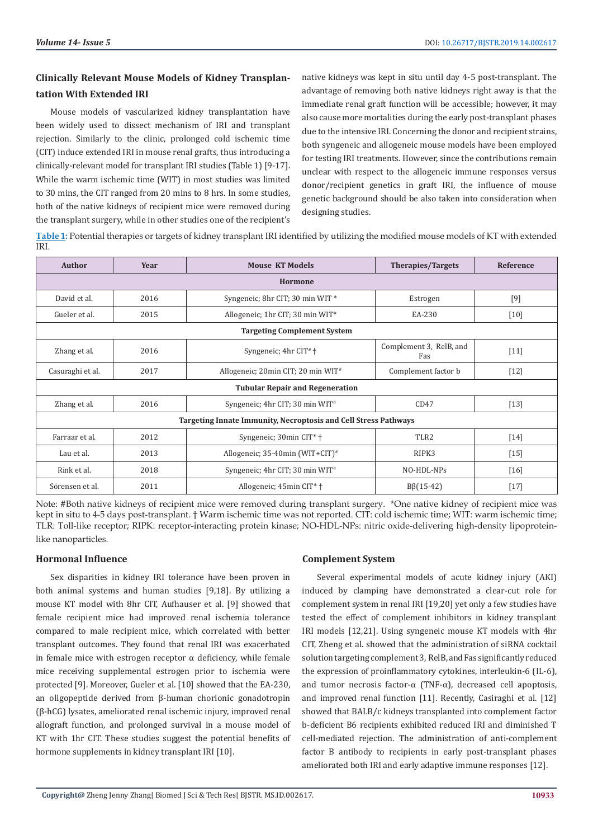# **Clinically Relevant Mouse Models of Kidney Transplantation With Extended IRI**

Mouse models of vascularized kidney transplantation have been widely used to dissect mechanism of IRI and transplant rejection. Similarly to the clinic, prolonged cold ischemic time (CIT) induce extended IRI in mouse renal grafts, thus introducing a clinically-relevant model for transplant IRI studies (Table 1) [9-17]. While the warm ischemic time (WIT) in most studies was limited to 30 mins, the CIT ranged from 20 mins to 8 hrs. In some studies, both of the native kidneys of recipient mice were removed during the transplant surgery, while in other studies one of the recipient's native kidneys was kept in situ until day 4-5 post-transplant. The advantage of removing both native kidneys right away is that the immediate renal graft function will be accessible; however, it may also cause more mortalities during the early post-transplant phases due to the intensive IRI. Concerning the donor and recipient strains, both syngeneic and allogeneic mouse models have been employed for testing IRI treatments. However, since the contributions remain unclear with respect to the allogeneic immune responses versus donor/recipient genetics in graft IRI, the influence of mouse genetic background should be also taken into consideration when designing studies.

**Table 1:** Potential therapies or targets of kidney transplant IRI identified by utilizing the modified mouse models of KT with extended IRI.

| <b>Author</b>                                                   | Year | <b>Mouse KT Models</b>                      | <b>Therapies/Targets</b>       | Reference |
|-----------------------------------------------------------------|------|---------------------------------------------|--------------------------------|-----------|
| <b>Hormone</b>                                                  |      |                                             |                                |           |
| David et al.                                                    | 2016 | Syngeneic; 8hr CIT; 30 min WIT *            | Estrogen                       | $[9]$     |
| Gueler et al.                                                   | 2015 | Allogeneic; 1hr CIT; 30 min WIT*            | EA-230                         | $[10]$    |
| <b>Targeting Complement System</b>                              |      |                                             |                                |           |
| Zhang et al.                                                    | 2016 | Syngeneic; $4hr$ CIT <sup>#</sup> $\dagger$ | Complement 3, RelB, and<br>Fas | $[11]$    |
| Casuraghi et al.                                                | 2017 | Allogeneic; 20min CIT; 20 min WIT#          | Complement factor b            | $[12]$    |
| <b>Tubular Repair and Regeneration</b>                          |      |                                             |                                |           |
| Zhang et al.                                                    | 2016 | Syngeneic; 4hr CIT; 30 min WIT#             | CD47                           | $[13]$    |
| Targeting Innate Immunity, Necroptosis and Cell Stress Pathways |      |                                             |                                |           |
| Farraar et al.                                                  | 2012 | Syngeneic; 30min CIT <sup>*</sup> +         | TLR <sub>2</sub>               | $[14]$    |
| Lau et al.                                                      | 2013 | Allogeneic; 35-40min (WIT+CIT) <sup>#</sup> | RIPK3                          | $[15]$    |
| Rink et al.                                                     | 2018 | Syngeneic; 4hr CIT; 30 min WIT#             | NO-HDL-NPs                     | $[16]$    |
| Sörensen et al.                                                 | 2011 | Allogeneic; 45min CIT <sup>*</sup> +        | $B(15-42)$                     | $[17]$    |

Note: #Both native kidneys of recipient mice were removed during transplant surgery. \*One native kidney of recipient mice was kept in situ to 4-5 days post-transplant. † Warm ischemic time was not reported. CIT: cold ischemic time; WIT: warm ischemic time; TLR: Toll-like receptor; RIPK: receptor-interacting protein kinase; NO-HDL-NPs: nitric oxide-delivering high-density lipoproteinlike nanoparticles.

### **Hormonal Influence**

Sex disparities in kidney IRI tolerance have been proven in both animal systems and human studies [9,18]. By utilizing a mouse KT model with 8hr CIT, Aufhauser et al. [9] showed that female recipient mice had improved renal ischemia tolerance compared to male recipient mice, which correlated with better transplant outcomes. They found that renal IRI was exacerbated in female mice with estrogen receptor α deficiency, while female mice receiving supplemental estrogen prior to ischemia were protected [9]. Moreover, Gueler et al. [10] showed that the EA-230, an oligopeptide derived from β-human chorionic gonadotropin (β-hCG) lysates, ameliorated renal ischemic injury, improved renal allograft function, and prolonged survival in a mouse model of KT with 1hr CIT. These studies suggest the potential benefits of hormone supplements in kidney transplant IRI [10].

### **Complement System**

Several experimental models of acute kidney injury (AKI) induced by clamping have demonstrated a clear-cut role for complement system in renal IRI [19,20] yet only a few studies have tested the effect of complement inhibitors in kidney transplant IRI models [12,21]. Using syngeneic mouse KT models with 4hr CIT, Zheng et al. showed that the administration of siRNA cocktail solution targeting complement 3, RelB, and Fas significantly reduced the expression of proinflammatory cytokines, interleukin-6 (IL-6), and tumor necrosis factor-α (TNF-α), decreased cell apoptosis, and improved renal function [11]. Recently, Casiraghi et al. [12] showed that BALB/c kidneys transplanted into complement factor b-deficient B6 recipients exhibited reduced IRI and diminished T cell-mediated rejection. The administration of anti-complement factor B antibody to recipients in early post-transplant phases ameliorated both IRI and early adaptive immune responses [12].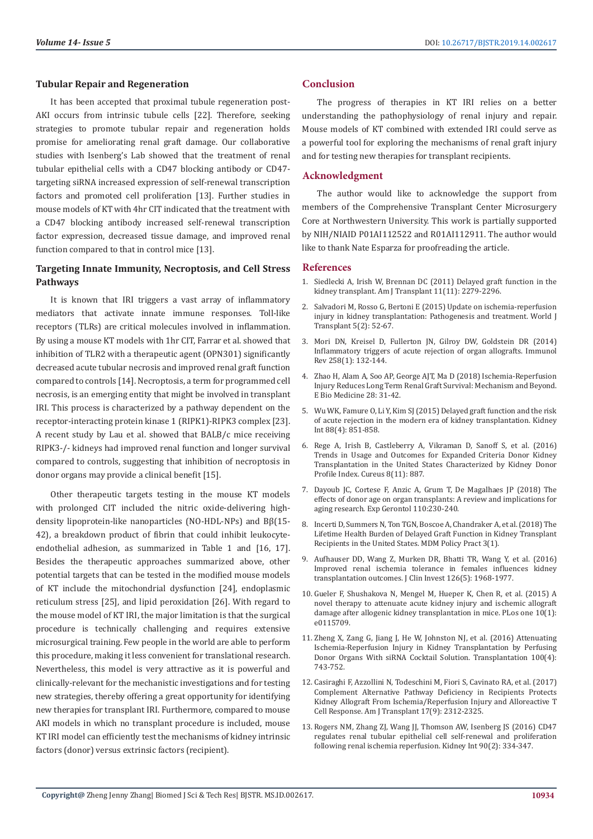#### **Tubular Repair and Regeneration**

It has been accepted that proximal tubule regeneration post-AKI occurs from intrinsic tubule cells [22]. Therefore, seeking strategies to promote tubular repair and regeneration holds promise for ameliorating renal graft damage. Our collaborative studies with Isenberg's Lab showed that the treatment of renal tubular epithelial cells with a CD47 blocking antibody or CD47 targeting siRNA increased expression of self-renewal transcription factors and promoted cell proliferation [13]. Further studies in mouse models of KTwith 4hr CIT indicated that the treatment with a CD47 blocking antibody increased self-renewal transcription factor expression, decreased tissue damage, and improved renal function compared to that in control mice [13].

# **Targeting Innate Immunity, Necroptosis, and Cell Stress Pathways**

It is known that IRI triggers a vast array of inflammatory mediators that activate innate immune responses. Toll-like receptors (TLRs) are critical molecules involved in inflammation. By using a mouse KT models with 1hr CIT, Farrar et al. showed that inhibition of TLR2 with a therapeutic agent (OPN301) significantly decreased acute tubular necrosis and improved renal graft function compared to controls [14]. Necroptosis, a term for programmed cell necrosis, is an emerging entity that might be involved in transplant IRI. This process is characterized by a pathway dependent on the receptor‐interacting protein kinase 1 (RIPK1)-RIPK3 complex [23]. A recent study by Lau et al. showed that BALB/c mice receiving RIPK3-/- kidneys had improved renal function and longer survival compared to controls, suggesting that inhibition of necroptosis in donor organs may provide a clinical benefit [15].

Other therapeutic targets testing in the mouse KT models with prolonged CIT included the nitric oxide-delivering highdensity lipoprotein-like nanoparticles (NO-HDL-NPs) and Bβ(15- 42), a breakdown product of fibrin that could inhibit leukocyteendothelial adhesion, as summarized in Table 1 and [16, 17]. Besides the therapeutic approaches summarized above, other potential targets that can be tested in the modified mouse models of KT include the mitochondrial dysfunction [24], endoplasmic reticulum stress [25], and lipid peroxidation [26]. With regard to the mouse model of KT IRI, the major limitation is that the surgical procedure is technically challenging and requires extensive microsurgical training. Few people in the world are able to perform this procedure, making it less convenient for translational research. Nevertheless, this model is very attractive as it is powerful and clinically-relevant for the mechanistic investigations and for testing new strategies, thereby offering a great opportunity for identifying new therapies for transplant IRI. Furthermore, compared to mouse AKI models in which no transplant procedure is included, mouse KT IRI model can efficiently test the mechanisms of kidney intrinsic factors (donor) versus extrinsic factors (recipient).

## **Conclusion**

The progress of therapies in KT IRI relies on a better understanding the pathophysiology of renal injury and repair. Mouse models of KT combined with extended IRI could serve as a powerful tool for exploring the mechanisms of renal graft injury and for testing new therapies for transplant recipients.

### **Acknowledgment**

The author would like to acknowledge the support from members of the Comprehensive Transplant Center Microsurgery Core at Northwestern University. This work is partially supported by NIH/NIAID P01AI112522 and R01AI112911. The author would like to thank Nate Esparza for proofreading the article.

#### **References**

- 1. [Siedlecki A, Irish W, Brennan DC \(2011\) Delayed graft function in the](https://www.ncbi.nlm.nih.gov/pmc/articles/PMC3280444/) [kidney transplant. Am J Transplant 11\(11\): 2279-2296.](https://www.ncbi.nlm.nih.gov/pmc/articles/PMC3280444/)
- 2. [Salvadori M, Rosso G, Bertoni E \(2015\) Update on ischemia-reperfusion](https://www.ncbi.nlm.nih.gov/pmc/articles/PMC4478600/) [injury in kidney transplantation: Pathogenesis and treatment. World J](https://www.ncbi.nlm.nih.gov/pmc/articles/PMC4478600/) [Transplant 5\(2\): 52-67.](https://www.ncbi.nlm.nih.gov/pmc/articles/PMC4478600/)
- 3. [Mori DN, Kreisel D, Fullerton JN, Gilroy DW, Goldstein DR \(2014\)](https://www.ncbi.nlm.nih.gov/pubmed/24517430) [Inflammatory triggers of acute rejection of organ allografts. Immunol](https://www.ncbi.nlm.nih.gov/pubmed/24517430) [Rev 258\(1\): 132-144.](https://www.ncbi.nlm.nih.gov/pubmed/24517430)
- 4. [Zhao H, Alam A, Soo AP, George AJT, Ma D \(2018\) Ischemia-Reperfusion](https://www.ncbi.nlm.nih.gov/pubmed/29398595) [Injury Reduces Long Term Renal Graft Survival: Mechanism and Beyond.](https://www.ncbi.nlm.nih.gov/pubmed/29398595) [E Bio Medicine 28: 31-42.](https://www.ncbi.nlm.nih.gov/pubmed/29398595)
- 5. [Wu WK, Famure O, Li Y, Kim SJ \(2015\) Delayed graft function and the risk](https://www.ncbi.nlm.nih.gov/pubmed/26108067) [of acute rejection in the modern era of kidney transplantation. Kidney](https://www.ncbi.nlm.nih.gov/pubmed/26108067) [Int 88\(4\): 851-858.](https://www.ncbi.nlm.nih.gov/pubmed/26108067)
- 6. [Rege A, Irish B, Castleberry A, Vikraman D, Sanoff S, et al. \(2016\)](https://www.ncbi.nlm.nih.gov/pubmed/28018757) [Trends in Usage and Outcomes for Expanded Criteria Donor Kidney](https://www.ncbi.nlm.nih.gov/pubmed/28018757) [Transplantation in the United States Characterized by Kidney Donor](https://www.ncbi.nlm.nih.gov/pubmed/28018757) [Profile Index. Cureus 8\(11\): 887.](https://www.ncbi.nlm.nih.gov/pubmed/28018757)
- 7. [Dayoub JC, Cortese F, Anzic A, Grum T, De Magalhaes JP \(2018\) The](https://www.ncbi.nlm.nih.gov/pubmed/29935294) [effects of donor age on organ transplants: A review and implications for](https://www.ncbi.nlm.nih.gov/pubmed/29935294) [aging research. Exp Gerontol 110:230-240.](https://www.ncbi.nlm.nih.gov/pubmed/29935294)
- 8. [Incerti D, Summers N, Ton TGN, Boscoe A, Chandraker A, et al. \(2018\) The](https://www.ncbi.nlm.nih.gov/pmc/articles/PMC6124921/) [Lifetime Health Burden of Delayed Graft Function in Kidney Transplant](https://www.ncbi.nlm.nih.gov/pmc/articles/PMC6124921/) [Recipients in the United States. MDM Policy Pract 3\(1\).](https://www.ncbi.nlm.nih.gov/pmc/articles/PMC6124921/)
- 9. [Aufhauser DD, Wang Z, Murken DR, Bhatti TR, Wang Y, et al. \(2016\)](https://www.ncbi.nlm.nih.gov/pubmed/27088798) [Improved renal ischemia tolerance in females influences kidney](https://www.ncbi.nlm.nih.gov/pubmed/27088798) [transplantation outcomes. J Clin Invest 126\(5\): 1968-1977.](https://www.ncbi.nlm.nih.gov/pubmed/27088798)
- 10. [Gueler F, Shushakova N, Mengel M, Hueper K, Chen R, et al. \(2015\) A](https://www.ncbi.nlm.nih.gov/pubmed/25617900) [novel therapy to attenuate acute kidney injury and ischemic allograft](https://www.ncbi.nlm.nih.gov/pubmed/25617900) [damage after allogenic kidney transplantation in mice. PLos one 10\(1\):](https://www.ncbi.nlm.nih.gov/pubmed/25617900) [e0115709.](https://www.ncbi.nlm.nih.gov/pubmed/25617900)
- 11. [Zheng X, Zang G, Jiang J, He W, Johnston NJ, et al. \(2016\) Attenuating](https://www.ncbi.nlm.nih.gov/pubmed/26998850) [Ischemia-Reperfusion Injury in Kidney Transplantation by Perfusing](https://www.ncbi.nlm.nih.gov/pubmed/26998850) [Donor Organs With siRNA Cocktail Solution. Transplantation 100\(4\):](https://www.ncbi.nlm.nih.gov/pubmed/26998850) [743-752.](https://www.ncbi.nlm.nih.gov/pubmed/26998850)
- 12. [Casiraghi F, Azzollini N, Todeschini M, Fiori S, Cavinato RA, et al. \(2017\)](https://www.ncbi.nlm.nih.gov/pubmed/28276660) [Complement Alternative Pathway Deficiency in Recipients Protects](https://www.ncbi.nlm.nih.gov/pubmed/28276660) [Kidney Allograft From Ischemia/Reperfusion Injury and Alloreactive T](https://www.ncbi.nlm.nih.gov/pubmed/28276660) [Cell Response. Am J Transplant 17\(9\): 2312-2325.](https://www.ncbi.nlm.nih.gov/pubmed/28276660)
- 13. [Rogers NM, Zhang ZJ, Wang JJ, Thomson AW, Isenberg JS \(2016\) CD47](https://www.ncbi.nlm.nih.gov/pubmed/27259369) [regulates renal tubular epithelial cell self-renewal and proliferation](https://www.ncbi.nlm.nih.gov/pubmed/27259369) [following renal ischemia reperfusion. Kidney Int 90\(2\): 334-347.](https://www.ncbi.nlm.nih.gov/pubmed/27259369)